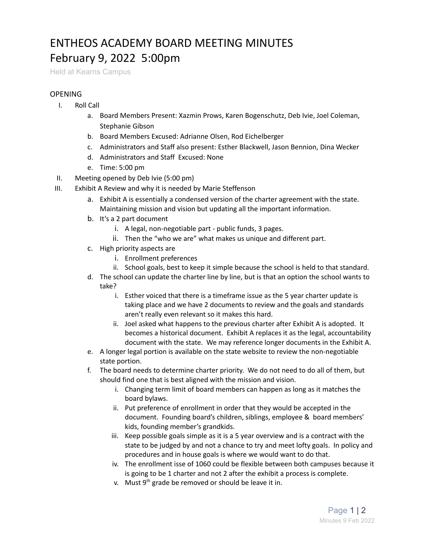## ENTHEOS ACADEMY BOARD MEETING MINUTES February 9, 2022 5:00pm

Held at Kearns Campus

## **OPENING**

- I. Roll Call
	- a. Board Members Present: Xazmin Prows, Karen Bogenschutz, Deb Ivie, Joel Coleman, Stephanie Gibson
	- b. Board Members Excused: Adrianne Olsen, Rod Eichelberger
	- c. Administrators and Staff also present: Esther Blackwell, Jason Bennion, Dina Wecker
	- d. Administrators and Staff Excused: None
	- e. Time: 5:00 pm
- II. Meeting opened by Deb Ivie (5:00 pm)
- III. Exhibit A Review and why it is needed by Marie Steffenson
	- a. Exhibit A is essentially a condensed version of the charter agreement with the state. Maintaining mission and vision but updating all the important information.
	- b. It's a 2 part document
		- i. A legal, non-negotiable part public funds, 3 pages.
		- ii. Then the "who we are" what makes us unique and different part.
	- c. High priority aspects are
		- i. Enrollment preferences
		- ii. School goals, best to keep it simple because the school is held to that standard.
	- d. The school can update the charter line by line, but is that an option the school wants to take?
		- i. Esther voiced that there is a timeframe issue as the 5 year charter update is taking place and we have 2 documents to review and the goals and standards aren't really even relevant so it makes this hard.
		- ii. Joel asked what happens to the previous charter after Exhibit A is adopted. It becomes a historical document. Exhibit A replaces it as the legal, accountability document with the state. We may reference longer documents in the Exhibit A.
	- e. A longer legal portion is available on the state website to review the non-negotiable state portion.
	- f. The board needs to determine charter priority. We do not need to do all of them, but should find one that is best aligned with the mission and vision.
		- i. Changing term limit of board members can happen as long as it matches the board bylaws.
		- ii. Put preference of enrollment in order that they would be accepted in the document. Founding board's children, siblings, employee & board members' kids, founding member's grandkids.
		- iii. Keep possible goals simple as it is a 5 year overview and is a contract with the state to be judged by and not a chance to try and meet lofty goals. In policy and procedures and in house goals is where we would want to do that.
		- iv. The enrollment isse of 1060 could be flexible between both campuses because it is going to be 1 charter and not 2 after the exhibit a process is complete.
		- v. Must  $9<sup>th</sup>$  grade be removed or should be leave it in.